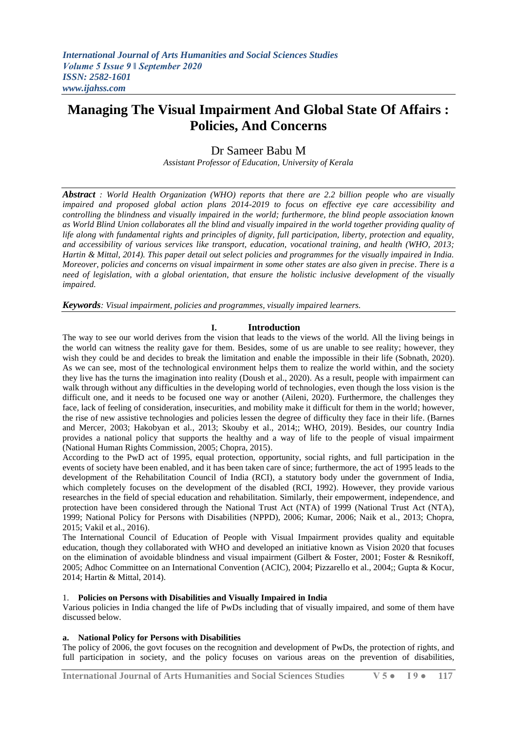# **Managing The Visual Impairment And Global State Of Affairs : Policies, And Concerns**

## Dr Sameer Babu M

*Assistant Professor of Education, University of Kerala*

*Abstract : World Health Organization (WHO) reports that there are 2.2 billion people who are visually impaired and proposed global action plans 2014-2019 to focus on effective eye care accessibility and controlling the blindness and visually impaired in the world; furthermore, the blind people association known as World Blind Union collaborates all the blind and visually impaired in the world together providing quality of life along with fundamental rights and principles of dignity, full participation, liberty, protection and equality,*  and accessibility of various services like transport, education, vocational training, and health (WHO, 2013; *Hartin & Mittal, 2014). This paper detail out select policies and programmes for the visually impaired in India. Moreover, policies and concerns on visual impairment in some other states are also given in precise. There is a need of legislation, with a global orientation, that ensure the holistic inclusive development of the visually impaired.* 

*Keywords: Visual impairment, policies and programmes, visually impaired learners.*

## **I. Introduction**

The way to see our world derives from the vision that leads to the views of the world. All the living beings in the world can witness the reality gave for them. Besides, some of us are unable to see reality; however, they wish they could be and decides to break the limitation and enable the impossible in their life (Sobnath, 2020). As we can see, most of the technological environment helps them to realize the world within, and the society they live has the turns the imagination into reality (Doush et al., 2020). As a result, people with impairment can walk through without any difficulties in the developing world of technologies, even though the loss vision is the difficult one, and it needs to be focused one way or another (Aileni, 2020). Furthermore, the challenges they face, lack of feeling of consideration, insecurities, and mobility make it difficult for them in the world; however, the rise of new assistive technologies and policies lessen the degree of difficulty they face in their life. (Barnes and Mercer, 2003; Hakobyan et al., 2013; Skouby et al., 2014;; WHO, 2019). Besides, our country India provides a national policy that supports the healthy and a way of life to the people of visual impairment (National Human Rights Commission, 2005; Chopra, 2015).

According to the PwD act of 1995, equal protection, opportunity, social rights, and full participation in the events of society have been enabled, and it has been taken care of since; furthermore, the act of 1995 leads to the development of the Rehabilitation Council of India (RCI), a statutory body under the government of India, which completely focuses on the development of the disabled (RCI, 1992). However, they provide various researches in the field of special education and rehabilitation. Similarly, their empowerment, independence, and protection have been considered through the National Trust Act (NTA) of 1999 (National Trust Act (NTA), 1999; National Policy for Persons with Disabilities (NPPD), 2006; Kumar, 2006; Naik et al., 2013; Chopra, 2015; Vakil et al., 2016).

The International Council of Education of People with Visual Impairment provides quality and equitable education, though they collaborated with WHO and developed an initiative known as Vision 2020 that focuses on the elimination of avoidable blindness and visual impairment (Gilbert & Foster, 2001; Foster & Resnikoff, 2005; Adhoc Committee on an International Convention (ACIC), 2004; Pizzarello et al., 2004;; Gupta & Kocur, 2014; Hartin & Mittal, 2014).

## 1. **Policies on Persons with Disabilities and Visually Impaired in India**

Various policies in India changed the life of PwDs including that of visually impaired, and some of them have discussed below.

## **a. National Policy for Persons with Disabilities**

The policy of 2006, the govt focuses on the recognition and development of PwDs, the protection of rights, and full participation in society, and the policy focuses on various areas on the prevention of disabilities,

**International Journal of Arts Humanities and Social Sciences Studies V 5 ● I 9 ● 117**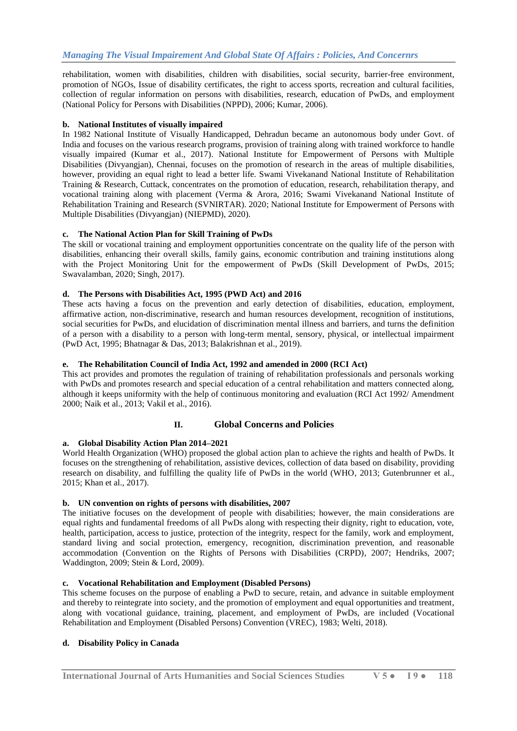rehabilitation, women with disabilities, children with disabilities, social security, barrier-free environment, promotion of NGOs, Issue of disability certificates, the right to access sports, recreation and cultural facilities, collection of regular information on persons with disabilities, research, education of PwDs, and employment (National Policy for Persons with Disabilities (NPPD), 2006; Kumar, 2006).

#### **b. National Institutes of visually impaired**

In 1982 National Institute of Visually Handicapped, Dehradun became an autonomous body under Govt. of India and focuses on the various research programs, provision of training along with trained workforce to handle visually impaired (Kumar et al., 2017). National Institute for Empowerment of Persons with Multiple Disabilities (Divyangjan), Chennai, focuses on the promotion of research in the areas of multiple disabilities, however, providing an equal right to lead a better life. Swami Vivekanand National Institute of Rehabilitation Training & Research, Cuttack, concentrates on the promotion of education, research, rehabilitation therapy, and vocational training along with placement (Verma & Arora, 2016; Swami Vivekanand National Institute of Rehabilitation Training and Research (SVNIRTAR). 2020; National Institute for Empowerment of Persons with Multiple Disabilities (Divyangjan) (NIEPMD), 2020).

#### **c. The National Action Plan for Skill Training of PwDs**

The skill or vocational training and employment opportunities concentrate on the quality life of the person with disabilities, enhancing their overall skills, family gains, economic contribution and training institutions along with the Project Monitoring Unit for the empowerment of PwDs (Skill Development of PwDs, 2015; Swavalamban, 2020; Singh, 2017).

#### **d. The Persons with Disabilities Act, 1995 (PWD Act) and 2016**

These acts having a focus on the prevention and early detection of disabilities, education, employment, affirmative action, non-discriminative, research and human resources development, recognition of institutions, social securities for PwDs, and elucidation of discrimination mental illness and barriers, and turns the definition of a person with a disability to a person with long-term mental, sensory, physical, or intellectual impairment (PwD Act, 1995; Bhatnagar & Das, 2013; Balakrishnan et al., 2019).

#### **e. The Rehabilitation Council of India Act, 1992 and amended in 2000 (RCI Act)**

This act provides and promotes the regulation of training of rehabilitation professionals and personals working with PwDs and promotes research and special education of a central rehabilitation and matters connected along, although it keeps uniformity with the help of continuous monitoring and evaluation (RCI Act 1992/ Amendment 2000; Naik et al., 2013; Vakil et al., 2016).

## **II. Global Concerns and Policies**

## **a. Global Disability Action Plan 2014–2021**

World Health Organization (WHO) proposed the global action plan to achieve the rights and health of PwDs. It focuses on the strengthening of rehabilitation, assistive devices, collection of data based on disability, providing research on disability, and fulfilling the quality life of PwDs in the world (WHO, 2013; Gutenbrunner et al., 2015; Khan et al., 2017).

## **b. UN convention on rights of persons with disabilities, 2007**

The initiative focuses on the development of people with disabilities; however, the main considerations are equal rights and fundamental freedoms of all PwDs along with respecting their dignity, right to education, vote, health, participation, access to justice, protection of the integrity, respect for the family, work and employment, standard living and social protection, emergency, recognition, discrimination prevention, and reasonable accommodation (Convention on the Rights of Persons with Disabilities (CRPD), 2007; Hendriks, 2007; Waddington, 2009; Stein & Lord, 2009).

#### **c. Vocational Rehabilitation and Employment (Disabled Persons)**

This scheme focuses on the purpose of enabling a PwD to secure, retain, and advance in suitable employment and thereby to reintegrate into society, and the promotion of employment and equal opportunities and treatment, along with vocational guidance, training, placement, and employment of PwDs, are included (Vocational Rehabilitation and Employment (Disabled Persons) Convention (VREC), 1983; Welti, 2018).

## **d. Disability Policy in Canada**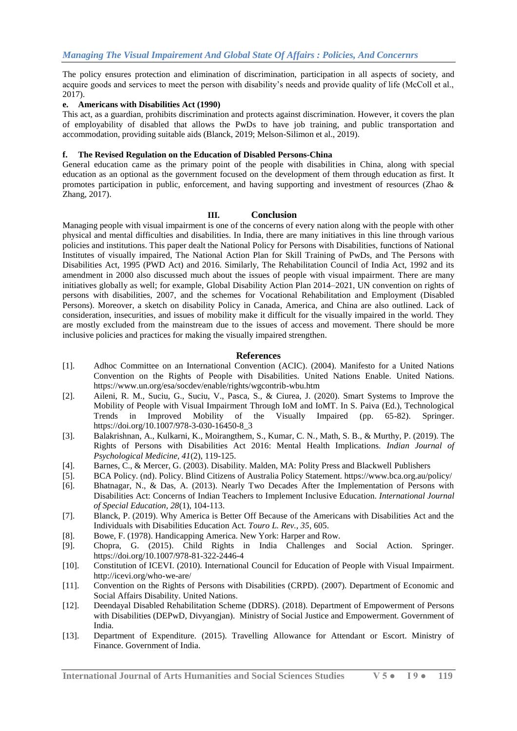The policy ensures protection and elimination of discrimination, participation in all aspects of society, and acquire goods and services to meet the person with disability's needs and provide quality of life (McColl et al., 2017).

#### **e. Americans with Disabilities Act (1990)**

This act, as a guardian, prohibits discrimination and protects against discrimination. However, it covers the plan of employability of disabled that allows the PwDs to have job training, and public transportation and accommodation, providing suitable aids (Blanck, 2019; Melson-Silimon et al., 2019).

#### **f. The Revised Regulation on the Education of Disabled Persons-China**

General education came as the primary point of the people with disabilities in China, along with special education as an optional as the government focused on the development of them through education as first. It promotes participation in public, enforcement, and having supporting and investment of resources (Zhao & Zhang, 2017).

#### **III. Conclusion**

Managing people with visual impairment is one of the concerns of every nation along with the people with other physical and mental difficulties and disabilities. In India, there are many initiatives in this line through various policies and institutions. This paper dealt the National Policy for Persons with Disabilities, functions of National Institutes of visually impaired, The National Action Plan for Skill Training of PwDs, and The Persons with Disabilities Act, 1995 (PWD Act) and 2016. Similarly, The Rehabilitation Council of India Act, 1992 and its amendment in 2000 also discussed much about the issues of people with visual impairment. There are many initiatives globally as well; for example, Global Disability Action Plan 2014–2021, UN convention on rights of persons with disabilities, 2007, and the schemes for Vocational Rehabilitation and Employment (Disabled Persons). Moreover, a sketch on disability Policy in Canada, America, and China are also outlined. Lack of consideration, insecurities, and issues of mobility make it difficult for the visually impaired in the world. They are mostly excluded from the mainstream due to the issues of access and movement. There should be more inclusive policies and practices for making the visually impaired strengthen.

#### **References**

- [1]. Adhoc Committee on an International Convention (ACIC). (2004). Manifesto for a United Nations Convention on the Rights of People with Disabilities. United Nations Enable. United Nations. https://www.un.org/esa/socdev/enable/rights/wgcontrib-wbu.htm
- [2]. Aileni, R. M., Suciu, G., Suciu, V., Pasca, S., & Ciurea, J. (2020). Smart Systems to Improve the Mobility of People with Visual Impairment Through IoM and IoMT. In S. Paiva (Ed.), Technological Trends in Improved Mobility of the Visually Impaired (pp. 65-82). Springer. https://doi.org/10.1007/978-3-030-16450-8\_3
- [3]. Balakrishnan, A., Kulkarni, K., Moirangthem, S., Kumar, C. N., Math, S. B., & Murthy, P. (2019). The Rights of Persons with Disabilities Act 2016: Mental Health Implications. *Indian Journal of Psychological Medicine, 41*(2), 119-125.
- [4]. Barnes, C., & Mercer, G. (2003). Disability. Malden, MA: Polity Press and Blackwell Publishers
- [5]. BCA Policy. (nd). Policy. Blind Citizens of Australia Policy Statement. https://www.bca.org.au/policy/
- [6]. Bhatnagar, N., & Das, A. (2013). Nearly Two Decades After the Implementation of Persons with Disabilities Act: Concerns of Indian Teachers to Implement Inclusive Education. *International Journal of Special Education, 28*(1), 104-113.
- [7]. Blanck, P. (2019). Why America is Better Off Because of the Americans with Disabilities Act and the Individuals with Disabilities Education Act. *Touro L. Rev., 35*, 605.
- [8]. Bowe, F. (1978). Handicapping America. New York: Harper and Row.
- [9]. Chopra, G. (2015). Child Rights in India Challenges and Social Action. Springer. https://doi.org/10.1007/978-81-322-2446-4
- [10]. Constitution of ICEVI. (2010). International Council for Education of People with Visual Impairment. http://icevi.org/who-we-are/
- [11]. Convention on the Rights of Persons with Disabilities (CRPD). (2007). Department of Economic and Social Affairs Disability. United Nations.
- [12]. Deendayal Disabled Rehabilitation Scheme (DDRS). (2018). Department of Empowerment of Persons with Disabilities (DEPwD, Divyangjan). Ministry of Social Justice and Empowerment. Government of India.
- [13]. Department of Expenditure. (2015). Travelling Allowance for Attendant or Escort. Ministry of Finance. Government of India.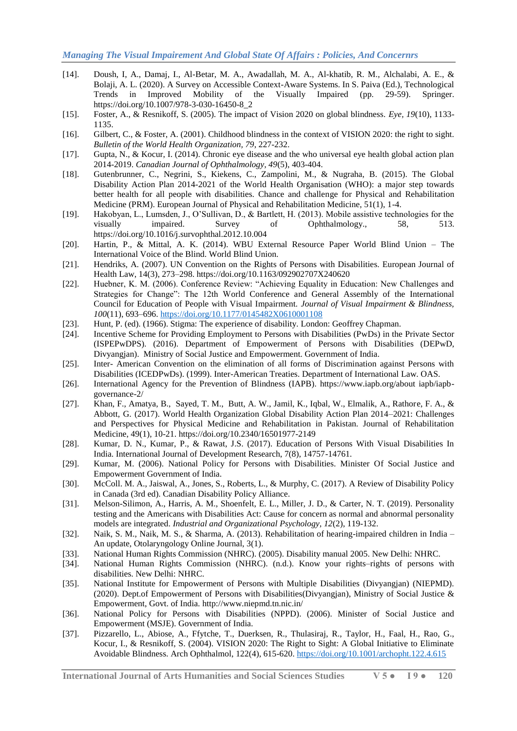- [14]. Doush, I, A., Damaj, I., Al-Betar, M. A., Awadallah, M. A., Al-khatib, R. M., Alchalabi, A. E., & Bolaji, A. L. (2020). A Survey on Accessible Context-Aware Systems. In S. Paiva (Ed.), Technological Trends in Improved Mobility of the Visually Impaired (pp. 29-59). Springer. https://doi.org/10.1007/978-3-030-16450-8\_2
- [15]. Foster, A., & Resnikoff, S. (2005). The impact of Vision 2020 on global blindness. *Eye, 19*(10), 1133- 1135.
- [16]. Gilbert, C., & Foster, A. (2001). Childhood blindness in the context of VISION 2020: the right to sight. *Bulletin of the World Health Organization, 79*, 227-232.
- [17]. Gupta, N., & Kocur, I. (2014). Chronic eye disease and the who universal eye health global action plan 2014-2019. *Canadian Journal of Ophthalmology, 49*(5), 403-404.
- [18]. Gutenbrunner, C., Negrini, S., Kiekens, C., Zampolini, M., & Nugraha, B. (2015). The Global Disability Action Plan 2014-2021 of the World Health Organisation (WHO): a major step towards better health for all people with disabilities. Chance and challenge for Physical and Rehabilitation Medicine (PRM). European Journal of Physical and Rehabilitation Medicine, 51(1), 1-4.
- [19]. Hakobyan, L., Lumsden, J., O'Sullivan, D., & Bartlett, H. (2013). Mobile assistive technologies for the visually impaired. Survey of Ophthalmology., 58, 513. https://doi.org/10.1016/j.survophthal.2012.10.004
- [20]. Hartin, P., & Mittal, A. K. (2014). WBU External Resource Paper World Blind Union The International Voice of the Blind. World Blind Union.
- [21]. Hendriks, A. (2007). UN Convention on the Rights of Persons with Disabilities. European Journal of Health Law, 14(3), 273–298. https://doi.org/10.1163/092902707X240620
- [22]. Huebner, K. M. (2006). Conference Review: "Achieving Equality in Education: New Challenges and Strategies for Change": The 12th World Conference and General Assembly of the International Council for Education of People with Visual Impairment. *Journal of Visual Impairment & Blindness, 100*(11), 693–696[. https://doi.org/10.1177/0145482X0610001108](https://doi.org/10.1177/0145482X0610001108)
- [23]. Hunt, P. (ed). (1966). Stigma: The experience of disability. London: Geoffrey Chapman.
- [24]. Incentive Scheme for Providing Employment to Persons with Disabilities (PwDs) in the Private Sector (ISPEPwDPS). (2016). Department of Empowerment of Persons with Disabilities (DEPwD, Divyangjan). Ministry of Social Justice and Empowerment. Government of India.
- [25]. Inter- American Convention on the elimination of all forms of Discrimination against Persons with Disabilities (ICEDPwDs). (1999). Inter-American Treaties. Department of International Law. OAS.
- [26]. International Agency for the Prevention of Blindness (IAPB). https://www.iapb.org/about iapb/iapbgovernance-2/
- [27]. Khan, F., Amatya, B., Sayed, T. M., Butt, A. W., Jamil, K., Iqbal, W., Elmalik, A., Rathore, F. A., & Abbott, G. (2017). World Health Organization Global Disability Action Plan 2014–2021: Challenges and Perspectives for Physical Medicine and Rehabilitation in Pakistan. Journal of Rehabilitation Medicine, 49(1), 10-21. https://doi.org/10.2340/16501977-2149
- [28]. Kumar, D. N., Kumar, P., & Rawat, J.S. (2017). Education of Persons With Visual Disabilities In India. International Journal of Development Research, 7(8), 14757-14761.
- [29]. Kumar, M. (2006). National Policy for Persons with Disabilities. Minister Of Social Justice and Empowerment Government of India.
- [30]. McColl. M. A., Jaiswal, A., Jones, S., Roberts, L., & Murphy, C. (2017). A Review of Disability Policy in Canada (3rd ed). Canadian Disability Policy Alliance.
- [31]. Melson-Silimon, A., Harris, A. M., Shoenfelt, E. L., Miller, J. D., & Carter, N. T. (2019). Personality testing and the Americans with Disabilities Act: Cause for concern as normal and abnormal personality models are integrated. *Industrial and Organizational Psychology, 12*(2), 119-132.
- [32]. Naik, S. M., Naik, M. S., & Sharma, A. (2013). Rehabilitation of hearing-impaired children in India An update, Otolaryngology Online Journal, 3(1).
- [33]. National Human Rights Commission (NHRC). (2005). Disability manual 2005. New Delhi: NHRC.
- [34]. National Human Rights Commission (NHRC). (n.d.). Know your rights–rights of persons with disabilities. New Delhi: NHRC.
- [35]. National Institute for Empowerment of Persons with Multiple Disabilities (Divyangjan) (NIEPMD). (2020). Dept.of Empowerment of Persons with Disabilities(Divyangjan), Ministry of Social Justice & Empowerment, Govt. of India. http://www.niepmd.tn.nic.in/
- [36]. National Policy for Persons with Disabilities (NPPD). (2006). Minister of Social Justice and Empowerment (MSJE). Government of India.
- [37]. Pizzarello, L., Abiose, A., Ffytche, T., Duerksen, R., Thulasiraj, R., Taylor, H., Faal, H., Rao, G., Kocur, I., & Resnikoff, S. (2004). VISION 2020: The Right to Sight: A Global Initiative to Eliminate Avoidable Blindness. Arch Ophthalmol, 122(4), 615-620.<https://doi.org/10.1001/archopht.122.4.615>